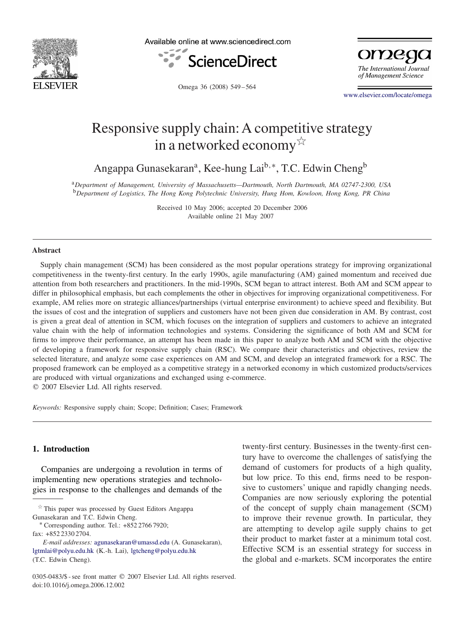

Available online at www.sciencedirect.com





Omega 36 (2008) 549 – 564

[www.elsevier.com/locate/omega](http://www.elsevier.com/locate/omega)

# Responsive supply chain:A competitive strategy in a networked economy  $\overrightarrow{x}$

Angappa Gunasekaran<sup>a</sup>, Kee-hung Lai<sup>b,∗</sup>, T.C. Edwin Cheng<sup>b</sup>

<sup>a</sup>*Department of Management, University of Massachusetts—Dartmouth, North Dartmouth, MA 02747-2300, USA* <sup>b</sup>*Department of Logistics, The Hong Kong Polytechnic University, Hung Hom, Kowloon, Hong Kong, PR China*

> Received 10 May 2006; accepted 20 December 2006 Available online 21 May 2007

#### **Abstract**

Supply chain management (SCM) has been considered as the most popular operations strategy for improving organizational competitiveness in the twenty-first century. In the early 1990s, agile manufacturing (AM) gained momentum and received due attention from both researchers and practitioners. In the mid-1990s, SCM began to attract interest. Both AM and SCM appear to differ in philosophical emphasis, but each complements the other in objectives for improving organizational competitiveness. For example, AM relies more on strategic alliances/partnerships (virtual enterprise environment) to achieve speed and flexibility. But the issues of cost and the integration of suppliers and customers have not been given due consideration in AM. By contrast, cost is given a great deal of attention in SCM, which focuses on the integration of suppliers and customers to achieve an integrated value chain with the help of information technologies and systems. Considering the significance of both AM and SCM for firms to improve their performance, an attempt has been made in this paper to analyze both AM and SCM with the objective of developing a framework for responsive supply chain (RSC). We compare their characteristics and objectives, review the selected literature, and analyze some case experiences on AM and SCM, and develop an integrated framework for a RSC. The proposed framework can be employed as a competitive strategy in a networked economy in which customized products/services are produced with virtual organizations and exchanged using e-commerce.

2007 Elsevier Ltd. All rights reserved.

*Keywords:* Responsive supply chain; Scope; Definition; Cases; Framework

## **1. Introduction**

Companies are undergoing a revolution in terms of implementing new operations strategies and technologies in response to the challenges and demands of the twenty-first century. Businesses in the twenty-first cen-

<sup>-</sup> This paper was processed by Guest Editors Angappa Gunasekaran and T.C. Edwin Cheng.

<sup>∗</sup> Corresponding author. Tel.: +852 2766 7920;

fax: +852 2330 2704.

*E-mail addresses:* [agunasekaran@umassd.edu](mailto:agunasekaran@umassd.edu) (A. Gunasekaran), [lgtmlai@polyu.edu.hk](mailto:lgtmlai@polyu.edu.hk) (K.-h. Lai), [lgtcheng@polyu.edu.hk](mailto:lgtcheng@polyu.edu.hk) (T.C. Edwin Cheng).

tury have to overcome the challenges of satisfying the demand of customers for products of a high quality, but low price. To this end, firms need to be responsive to customers' unique and rapidly changing needs. Companies are now seriously exploring the potential of the concept of supply chain management (SCM) to improve their revenue growth. In particular, they are attempting to develop agile supply chains to get their product to market faster at a minimum total cost. Effective SCM is an essential strategy for success in the global and e-markets. SCM incorporates the entire

<sup>0305-0483/\$ -</sup> see front matter © 2007 Elsevier Ltd. All rights reserved. doi:10.1016/j.omega.2006.12.002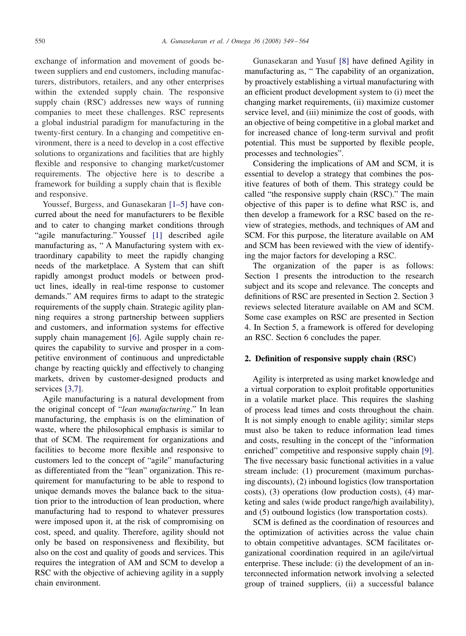exchange of information and movement of goods between suppliers and end customers, including manufacturers, distributors, retailers, and any other enterprises within the extended supply chain. The responsive supply chain (RSC) addresses new ways of running companies to meet these challenges. RSC represents a global industrial paradigm for manufacturing in the twenty-first century. In a changing and competitive environment, there is a need to develop in a cost effective solutions to organizations and facilities that are highly flexible and responsive to changing market/customer requirements. The objective here is to describe a framework for building a supply chain that is flexible and responsive.

Youssef, Burgess, and Gunasekaran [1–5] have concurred about the need for manufacturers to be flexible and to cater to changing market conditions through "agile manufacturing." Youssef [\[1\]](#page-13-0) described agile manufacturing as, " A Manufacturing system with extraordinary capability to meet the rapidly changing needs of the marketplace. A System that can shift rapidly amongst product models or between product lines, ideally in real-time response to customer demands." AM requires firms to adapt to the strategic requirements of the supply chain. Strategic agility planning requires a strong partnership between suppliers and customers, and information systems for effective supply chain management [\[6\].](#page-14-0) Agile supply chain requires the capability to survive and prosper in a competitive environment of continuous and unpredictable change by reacting quickly and effectively to changing markets, driven by customer-designed products and services [3,7].

Agile manufacturing is a natural development from the original concept of "*lean manufacturing*." In lean manufacturing, the emphasis is on the elimination of waste, where the philosophical emphasis is similar to that of SCM. The requirement for organizations and facilities to become more flexible and responsive to customers led to the concept of "agile" manufacturing as differentiated from the "lean" organization. This requirement for manufacturing to be able to respond to unique demands moves the balance back to the situation prior to the introduction of lean production, where manufacturing had to respond to whatever pressures were imposed upon it, at the risk of compromising on cost, speed, and quality. Therefore, agility should not only be based on responsiveness and flexibility, but also on the cost and quality of goods and services. This requires the integration of AM and SCM to develop a RSC with the objective of achieving agility in a supply chain environment.

Gunasekaran and Yusuf [\[8\]](#page-14-0) have defined Agility in manufacturing as, " The capability of an organization, by proactively establishing a virtual manufacturing with an efficient product development system to (i) meet the changing market requirements, (ii) maximize customer service level, and (iii) minimize the cost of goods, with an objective of being competitive in a global market and for increased chance of long-term survival and profit potential. This must be supported by flexible people, processes and technologies".

Considering the implications of AM and SCM, it is essential to develop a strategy that combines the positive features of both of them. This strategy could be called "the responsive supply chain (RSC)." The main objective of this paper is to define what RSC is, and then develop a framework for a RSC based on the review of strategies, methods, and techniques of AM and SCM. For this purpose, the literature available on AM and SCM has been reviewed with the view of identifying the major factors for developing a RSC.

The organization of the paper is as follows: Section 1 presents the introduction to the research subject and its scope and relevance. The concepts and definitions of RSC are presented in Section 2. Section 3 reviews selected literature available on AM and SCM. Some case examples on RSC are presented in Section 4. In Section 5, a framework is offered for developing an RSC. Section 6 concludes the paper.

## **2. Definition of responsive supply chain (RSC)**

Agility is interpreted as using market knowledge and a virtual corporation to exploit profitable opportunities in a volatile market place. This requires the slashing of process lead times and costs throughout the chain. It is not simply enough to enable agility; similar steps must also be taken to reduce information lead times and costs, resulting in the concept of the "information enriched" competitive and responsive supply chain [\[9\].](#page-14-0) The five necessary basic functional activities in a value stream include: (1) procurement (maximum purchasing discounts), (2) inbound logistics (low transportation costs), (3) operations (low production costs), (4) marketing and sales (wide product range/high availability), and (5) outbound logistics (low transportation costs).

SCM is defined as the coordination of resources and the optimization of activities across the value chain to obtain competitive advantages. SCM facilitates organizational coordination required in an agile/virtual enterprise. These include: (i) the development of an interconnected information network involving a selected group of trained suppliers, (ii) a successful balance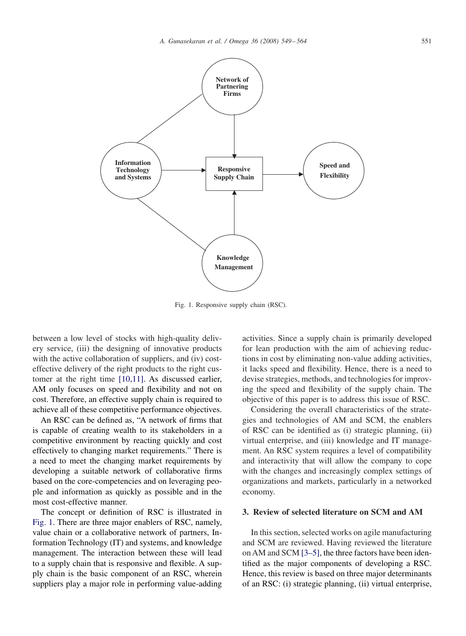

Fig. 1. Responsive supply chain (RSC).

between a low level of stocks with high-quality delivery service, (iii) the designing of innovative products with the active collaboration of suppliers, and (iv) costeffective delivery of the right products to the right customer at the right time [10,11]. As discussed earlier, AM only focuses on speed and flexibility and not on cost. Therefore, an effective supply chain is required to achieve all of these competitive performance objectives.

An RSC can be defined as, "A network of firms that is capable of creating wealth to its stakeholders in a competitive environment by reacting quickly and cost effectively to changing market requirements." There is a need to meet the changing market requirements by developing a suitable network of collaborative firms based on the core-competencies and on leveraging people and information as quickly as possible and in the most cost-effective manner.

The concept or definition of RSC is illustrated in Fig. 1. There are three major enablers of RSC, namely, value chain or a collaborative network of partners, Information Technology (IT) and systems, and knowledge management. The interaction between these will lead to a supply chain that is responsive and flexible. A supply chain is the basic component of an RSC, wherein suppliers play a major role in performing value-adding activities. Since a supply chain is primarily developed for lean production with the aim of achieving reductions in cost by eliminating non-value adding activities, it lacks speed and flexibility. Hence, there is a need to devise strategies, methods, and technologies for improving the speed and flexibility of the supply chain. The objective of this paper is to address this issue of RSC.

Considering the overall characteristics of the strategies and technologies of AM and SCM, the enablers of RSC can be identified as (i) strategic planning, (ii) virtual enterprise, and (iii) knowledge and IT management. An RSC system requires a level of compatibility and interactivity that will allow the company to cope with the changes and increasingly complex settings of organizations and markets, particularly in a networked economy.

# **3. Review of selected literature on SCM and AM**

In this section, selected works on agile manufacturing and SCM are reviewed. Having reviewed the literature on AM and SCM [3–5], the three factors have been identified as the major components of developing a RSC. Hence, this review is based on three major determinants of an RSC: (i) strategic planning, (ii) virtual enterprise,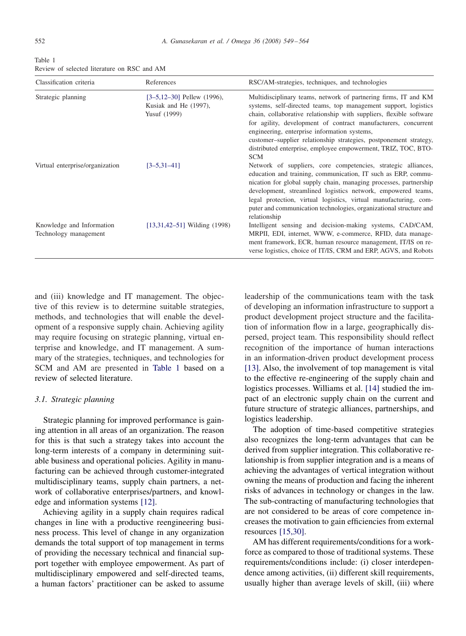Table 1 Review of selected literature on RSC and AM

| Classification criteria                            | References                                                             | RSC/AM-strategies, techniques, and technologies                                                                                                                                                                                                                                                                                                                                                                                                                                 |
|----------------------------------------------------|------------------------------------------------------------------------|---------------------------------------------------------------------------------------------------------------------------------------------------------------------------------------------------------------------------------------------------------------------------------------------------------------------------------------------------------------------------------------------------------------------------------------------------------------------------------|
| Strategic planning                                 | $[3-5, 12-30]$ Pellew (1996),<br>Kusiak and He (1997),<br>Yusuf (1999) | Multidisciplinary teams, network of partnering firms, IT and KM<br>systems, self-directed teams, top management support, logistics<br>chain, collaborative relationship with suppliers, flexible software<br>for agility, development of contract manufacturers, concurrent<br>engineering, enterprise information systems,<br>customer-supplier relationship strategies, postponement strategy,<br>distributed enterprise, employee empowerment, TRIZ, TOC, BTO-<br><b>SCM</b> |
| Virtual enterprise/organization                    | $[3 - 5, 31 - 41]$                                                     | Network of suppliers, core competencies, strategic alliances,<br>education and training, communication, IT such as ERP, commu-<br>nication for global supply chain, managing processes, partnership<br>development, streamlined logistics network, empowered teams,<br>legal protection, virtual logistics, virtual manufacturing, com-<br>puter and communication technologies, organizational structure and<br>relationship                                                   |
| Knowledge and Information<br>Technology management | $[13,31,42-51]$ Wilding (1998)                                         | Intelligent sensing and decision-making systems, CAD/CAM,<br>MRPII, EDI, internet, WWW, e-commerce, RFID, data manage-<br>ment framework, ECR, human resource management, IT/IS on re-<br>verse logistics, choice of IT/IS, CRM and ERP, AGVS, and Robots                                                                                                                                                                                                                       |

and (iii) knowledge and IT management. The objective of this review is to determine suitable strategies, methods, and technologies that will enable the development of a responsive supply chain. Achieving agility may require focusing on strategic planning, virtual enterprise and knowledge, and IT management. A summary of the strategies, techniques, and technologies for SCM and AM are presented in Table 1 based on a review of selected literature.

#### *3.1. Strategic planning*

Strategic planning for improved performance is gaining attention in all areas of an organization. The reason for this is that such a strategy takes into account the long-term interests of a company in determining suitable business and operational policies. Agility in manufacturing can be achieved through customer-integrated multidisciplinary teams, supply chain partners, a network of collaborative enterprises/partners, and knowledge and information systems [\[12\].](#page-14-0)

Achieving agility in a supply chain requires radical changes in line with a productive reengineering business process. This level of change in any organization demands the total support of top management in terms of providing the necessary technical and financial support together with employee empowerment. As part of multidisciplinary empowered and self-directed teams, a human factors' practitioner can be asked to assume leadership of the communications team with the task of developing an information infrastructure to support a product development project structure and the facilitation of information flow in a large, geographically dispersed, project team. This responsibility should reflect recognition of the importance of human interactions in an information-driven product development process [\[13\].](#page-14-0) Also, the involvement of top management is vital to the effective re-engineering of the supply chain and logistics processes. Williams et al. [\[14\]](#page-14-0) studied the impact of an electronic supply chain on the current and future structure of strategic alliances, partnerships, and logistics leadership.

The adoption of time-based competitive strategies also recognizes the long-term advantages that can be derived from supplier integration. This collaborative relationship is from supplier integration and is a means of achieving the advantages of vertical integration without owning the means of production and facing the inherent risks of advances in technology or changes in the law. The sub-contracting of manufacturing technologies that are not considered to be areas of core competence increases the motivation to gain efficiencies from external resources [15,30].

AM has different requirements/conditions for a workforce as compared to those of traditional systems. These requirements/conditions include: (i) closer interdependence among activities, (ii) different skill requirements, usually higher than average levels of skill, (iii) where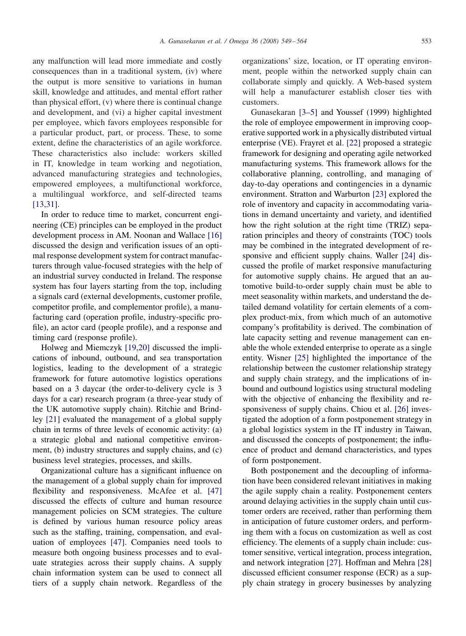any malfunction will lead more immediate and costly consequences than in a traditional system, (iv) where the output is more sensitive to variations in human skill, knowledge and attitudes, and mental effort rather than physical effort, (v) where there is continual change and development, and (vi) a higher capital investment per employee, which favors employees responsible for a particular product, part, or process. These, to some extent, define the characteristics of an agile workforce. These characteristics also include: workers skilled in IT, knowledge in team working and negotiation, advanced manufacturing strategies and technologies, empowered employees, a multifunctional workforce, a multilingual workforce, and self-directed teams [13,31].

In order to reduce time to market, concurrent engineering (CE) principles can be employed in the product development process in AM. Noonan and Wallace [\[16\]](#page-14-0) discussed the design and verification issues of an optimal response development system for contract manufacturers through value-focused strategies with the help of an industrial survey conducted in Ireland. The response system has four layers starting from the top, including a signals card (external developments, customer profile, competitor profile, and complementor profile), a manufacturing card (operation profile, industry-specific profile), an actor card (people profile), and a response and timing card (response profile).

Holweg and Miemczyk [19,20] discussed the implications of inbound, outbound, and sea transportation logistics, leading to the development of a strategic framework for future automotive logistics operations based on a 3 daycar (the order-to-delivery cycle is 3 days for a car) research program (a three-year study of the UK automotive supply chain). Ritchie and Brindley [\[21\]](#page-14-0) evaluated the management of a global supply chain in terms of three levels of economic activity: (a) a strategic global and national competitive environment, (b) industry structures and supply chains, and (c) business level strategies, processes, and skills.

Organizational culture has a significant influence on the management of a global supply chain for improved flexibility and responsiveness. McAfee et al. [\[47\]](#page-15-0) discussed the effects of culture and human resource management policies on SCM strategies. The culture is defined by various human resource policy areas such as the staffing, training, compensation, and evaluation of employees [\[47\].](#page-15-0) Companies need tools to measure both ongoing business processes and to evaluate strategies across their supply chains. A supply chain information system can be used to connect all tiers of a supply chain network. Regardless of the organizations' size, location, or IT operating environment, people within the networked supply chain can collaborate simply and quickly. A Web-based system will help a manufacturer establish closer ties with customers.

Gunasekaran [3–5] and Youssef (1999) highlighted the role of employee empowerment in improving cooperative supported work in a physically distributed virtual enterprise (VE). Frayret et al. [\[22\]](#page-14-0) proposed a strategic framework for designing and operating agile networked manufacturing systems. This framework allows for the collaborative planning, controlling, and managing of day-to-day operations and contingencies in a dynamic environment. Stratton and Warburton [\[23\]](#page-14-0) explored the role of inventory and capacity in accommodating variations in demand uncertainty and variety, and identified how the right solution at the right time (TRIZ) separation principles and theory of constraints (TOC) tools may be combined in the integrated development of re-sponsive and efficient supply chains. Waller [\[24\]](#page-14-0) discussed the profile of market responsive manufacturing for automotive supply chains. He argued that an automotive build-to-order supply chain must be able to meet seasonality within markets, and understand the detailed demand volatility for certain elements of a complex product-mix, from which much of an automotive company's profitability is derived. The combination of late capacity setting and revenue management can enable the whole extended enterprise to operate as a single entity. Wisner [\[25\]](#page-14-0) highlighted the importance of the relationship between the customer relationship strategy and supply chain strategy, and the implications of inbound and outbound logistics using structural modeling with the objective of enhancing the flexibility and responsiveness of supply chains. Chiou et al. [\[26\]](#page-14-0) investigated the adoption of a form postponement strategy in a global logistics system in the IT industry in Taiwan, and discussed the concepts of postponement; the influence of product and demand characteristics, and types of form postponement.

Both postponement and the decoupling of information have been considered relevant initiatives in making the agile supply chain a reality. Postponement centers around delaying activities in the supply chain until customer orders are received, rather than performing them in anticipation of future customer orders, and performing them with a focus on customization as well as cost efficiency. The elements of a supply chain include: customer sensitive, vertical integration, process integration, and network integration [\[27\].](#page-14-0) Hoffman and Mehra [\[28\]](#page-14-0) discussed efficient consumer response (ECR) as a supply chain strategy in grocery businesses by analyzing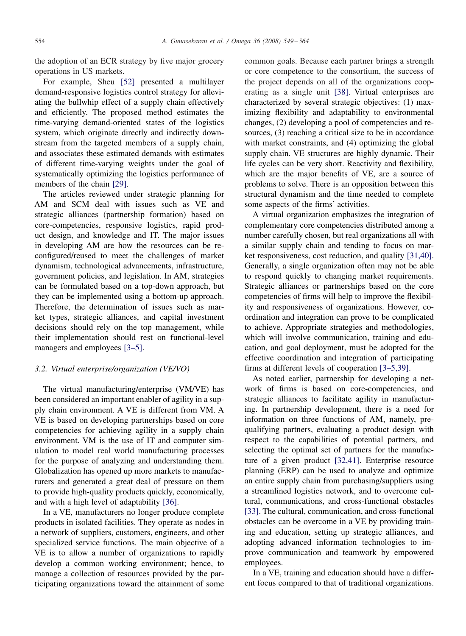the adoption of an ECR strategy by five major grocery operations in US markets.

For example, Sheu [\[52\]](#page-15-0) presented a multilayer demand-responsive logistics control strategy for alleviating the bullwhip effect of a supply chain effectively and efficiently. The proposed method estimates the time-varying demand-oriented states of the logistics system, which originate directly and indirectly downstream from the targeted members of a supply chain, and associates these estimated demands with estimates of different time-varying weights under the goal of systematically optimizing the logistics performance of members of the chain [\[29\].](#page-14-0)

The articles reviewed under strategic planning for AM and SCM deal with issues such as VE and strategic alliances (partnership formation) based on core-competencies, responsive logistics, rapid product design, and knowledge and IT. The major issues in developing AM are how the resources can be reconfigured/reused to meet the challenges of market dynamism, technological advancements, infrastructure, government policies, and legislation. In AM, strategies can be formulated based on a top-down approach, but they can be implemented using a bottom-up approach. Therefore, the determination of issues such as market types, strategic alliances, and capital investment decisions should rely on the top management, while their implementation should rest on functional-level managers and employees [3–5].

# *3.2. Virtual enterprise/organization (VE/VO)*

The virtual manufacturing/enterprise (VM/VE) has been considered an important enabler of agility in a supply chain environment. A VE is different from VM. A VE is based on developing partnerships based on core competencies for achieving agility in a supply chain environment. VM is the use of IT and computer simulation to model real world manufacturing processes for the purpose of analyzing and understanding them. Globalization has opened up more markets to manufacturers and generated a great deal of pressure on them to provide high-quality products quickly, economically, and with a high level of adaptability [\[36\].](#page-14-0)

In a VE, manufacturers no longer produce complete products in isolated facilities. They operate as nodes in a network of suppliers, customers, engineers, and other specialized service functions. The main objective of a VE is to allow a number of organizations to rapidly develop a common working environment; hence, to manage a collection of resources provided by the participating organizations toward the attainment of some common goals. Because each partner brings a strength or core competence to the consortium, the success of the project depends on all of the organizations cooperating as a single unit [\[38\].](#page-14-0) Virtual enterprises are characterized by several strategic objectives: (1) maximizing flexibility and adaptability to environmental changes, (2) developing a pool of competencies and resources, (3) reaching a critical size to be in accordance with market constraints, and (4) optimizing the global supply chain. VE structures are highly dynamic. Their life cycles can be very short. Reactivity and flexibility, which are the major benefits of VE, are a source of problems to solve. There is an opposition between this structural dynamism and the time needed to complete some aspects of the firms' activities.

A virtual organization emphasizes the integration of complementary core competencies distributed among a number carefully chosen, but real organizations all with a similar supply chain and tending to focus on market responsiveness, cost reduction, and quality [31,40]. Generally, a single organization often may not be able to respond quickly to changing market requirements. Strategic alliances or partnerships based on the core competencies of firms will help to improve the flexibility and responsiveness of organizations. However, coordination and integration can prove to be complicated to achieve. Appropriate strategies and methodologies, which will involve communication, training and education, and goal deployment, must be adopted for the effective coordination and integration of participating firms at different levels of cooperation [3–5,39].

As noted earlier, partnership for developing a network of firms is based on core-competencies, and strategic alliances to facilitate agility in manufacturing. In partnership development, there is a need for information on three functions of AM, namely, prequalifying partners, evaluating a product design with respect to the capabilities of potential partners, and selecting the optimal set of partners for the manufacture of a given product [32,41]. Enterprise resource planning (ERP) can be used to analyze and optimize an entire supply chain from purchasing/suppliers using a streamlined logistics network, and to overcome cultural, communications, and cross-functional obstacles [\[33\].](#page-14-0) The cultural, communication, and cross-functional obstacles can be overcome in a VE by providing training and education, setting up strategic alliances, and adopting advanced information technologies to improve communication and teamwork by empowered employees.

In a VE, training and education should have a different focus compared to that of traditional organizations.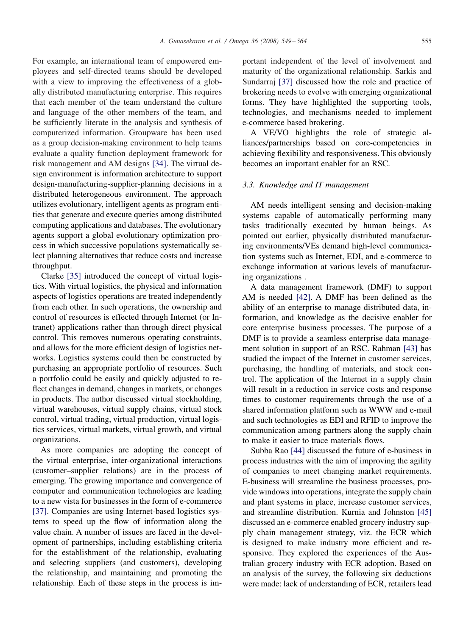For example, an international team of empowered employees and self-directed teams should be developed with a view to improving the effectiveness of a globally distributed manufacturing enterprise. This requires that each member of the team understand the culture and language of the other members of the team, and be sufficiently literate in the analysis and synthesis of computerized information. Groupware has been used as a group decision-making environment to help teams evaluate a quality function deployment framework for risk management and AM designs [\[34\].](#page-14-0) The virtual design environment is information architecture to support design-manufacturing-supplier-planning decisions in a distributed heterogeneous environment. The approach utilizes evolutionary, intelligent agents as program entities that generate and execute queries among distributed computing applications and databases. The evolutionary agents support a global evolutionary optimization process in which successive populations systematically select planning alternatives that reduce costs and increase throughput.

Clarke [\[35\]](#page-14-0) introduced the concept of virtual logistics. With virtual logistics, the physical and information aspects of logistics operations are treated independently from each other. In such operations, the ownership and control of resources is effected through Internet (or Intranet) applications rather than through direct physical control. This removes numerous operating constraints, and allows for the more efficient design of logistics networks. Logistics systems could then be constructed by purchasing an appropriate portfolio of resources. Such a portfolio could be easily and quickly adjusted to reflect changes in demand, changes in markets, or changes in products. The author discussed virtual stockholding, virtual warehouses, virtual supply chains, virtual stock control, virtual trading, virtual production, virtual logistics services, virtual markets, virtual growth, and virtual organizations.

As more companies are adopting the concept of the virtual enterprise, inter-organizational interactions (customer–supplier relations) are in the process of emerging. The growing importance and convergence of computer and communication technologies are leading to a new vista for businesses in the form of e-commerce [\[37\].](#page-14-0) Companies are using Internet-based logistics systems to speed up the flow of information along the value chain. A number of issues are faced in the development of partnerships, including establishing criteria for the establishment of the relationship, evaluating and selecting suppliers (and customers), developing the relationship, and maintaining and promoting the relationship. Each of these steps in the process is important independent of the level of involvement and maturity of the organizational relationship. Sarkis and Sundarraj [\[37\]](#page-14-0) discussed how the role and practice of brokering needs to evolve with emerging organizational forms. They have highlighted the supporting tools, technologies, and mechanisms needed to implement e-commerce based brokering.

A VE/VO highlights the role of strategic alliances/partnerships based on core-competencies in achieving flexibility and responsiveness. This obviously becomes an important enabler for an RSC.

#### *3.3. Knowledge and IT management*

AM needs intelligent sensing and decision-making systems capable of automatically performing many tasks traditionally executed by human beings. As pointed out earlier, physically distributed manufacturing environments/VEs demand high-level communication systems such as Internet, EDI, and e-commerce to exchange information at various levels of manufacturing organizations .

A data management framework (DMF) to support AM is needed [\[42\].](#page-15-0) A DMF has been defined as the ability of an enterprise to manage distributed data, information, and knowledge as the decisive enabler for core enterprise business processes. The purpose of a DMF is to provide a seamless enterprise data management solution in support of an RSC. Rahman [\[43\]](#page-15-0) has studied the impact of the Internet in customer services, purchasing, the handling of materials, and stock control. The application of the Internet in a supply chain will result in a reduction in service costs and response times to customer requirements through the use of a shared information platform such as WWW and e-mail and such technologies as EDI and RFID to improve the communication among partners along the supply chain to make it easier to trace materials flows.

Subba Rao [\[44\]](#page-15-0) discussed the future of e-business in process industries with the aim of improving the agility of companies to meet changing market requirements. E-business will streamline the business processes, provide windows into operations, integrate the supply chain and plant systems in place, increase customer services, and streamline distribution. Kurnia and Johnston [\[45\]](#page-15-0) discussed an e-commerce enabled grocery industry supply chain management strategy, viz. the ECR which is designed to make industry more efficient and responsive. They explored the experiences of the Australian grocery industry with ECR adoption. Based on an analysis of the survey, the following six deductions were made: lack of understanding of ECR, retailers lead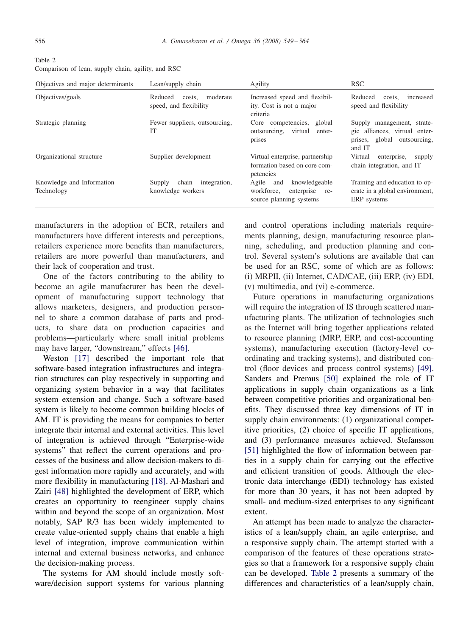| Table 2 |  |  |
|---------|--|--|

Comparison of lean, supply chain, agility, and RSC

| Objectives and major determinants       | Lean/supply chain                                       | Agility                                                                                  | <b>RSC</b>                                                                                           |
|-----------------------------------------|---------------------------------------------------------|------------------------------------------------------------------------------------------|------------------------------------------------------------------------------------------------------|
| Objectives/goals                        | moderate<br>Reduced<br>costs,<br>speed, and flexibility | Increased speed and flexibil-<br>ity. Cost is not a major<br>criteria                    | Reduced<br>increased<br>costs,<br>speed and flexibility                                              |
| Strategic planning                      | Fewer suppliers, outsourcing,<br>IT                     | Core competencies,<br>global<br>outsourcing,<br>virtual<br>enter-<br>prises              | Supply management, strate-<br>gic alliances, virtual enter-<br>prises, global outsourcing,<br>and IT |
| Organizational structure                | Supplier development                                    | Virtual enterprise, partnership<br>formation based on core com-<br>petencies             | Virtual<br>enterprise,<br>supply<br>chain integration, and IT                                        |
| Knowledge and Information<br>Technology | integration,<br>chain<br>Supply<br>knowledge workers    | knowledgeable<br>Agile and<br>workforce,<br>enterprise<br>re-<br>source planning systems | Training and education to op-<br>erate in a global environment,<br>ERP systems                       |

manufacturers in the adoption of ECR, retailers and manufacturers have different interests and perceptions, retailers experience more benefits than manufacturers, retailers are more powerful than manufacturers, and their lack of cooperation and trust.

One of the factors contributing to the ability to become an agile manufacturer has been the development of manufacturing support technology that allows marketers, designers, and production personnel to share a common database of parts and products, to share data on production capacities and problems—particularly where small initial problems may have larger, "downstream," effects [\[46\].](#page-15-0)

Weston [\[17\]](#page-14-0) described the important role that software-based integration infrastructures and integration structures can play respectively in supporting and organizing system behavior in a way that facilitates system extension and change. Such a software-based system is likely to become common building blocks of AM. IT is providing the means for companies to better integrate their internal and external activities. This level of integration is achieved through "Enterprise-wide systems" that reflect the current operations and processes of the business and allow decision-makers to digest information more rapidly and accurately, and with more flexibility in manufacturing [\[18\].](#page-14-0) Al-Mashari and Zairi [\[48\]](#page-15-0) highlighted the development of ERP, which creates an opportunity to reengineer supply chains within and beyond the scope of an organization. Most notably, SAP R/3 has been widely implemented to create value-oriented supply chains that enable a high level of integration, improve communication within internal and external business networks, and enhance the decision-making process.

The systems for AM should include mostly software/decision support systems for various planning and control operations including materials requirements planning, design, manufacturing resource planning, scheduling, and production planning and control. Several system's solutions are available that can be used for an RSC, some of which are as follows: (i) MRPII, (ii) Internet, CAD/CAE, (iii) ERP, (iv) EDI, (v) multimedia, and (vi) e-commerce.

Future operations in manufacturing organizations will require the integration of IS through scattered manufacturing plants. The utilization of technologies such as the Internet will bring together applications related to resource planning (MRP, ERP, and cost-accounting systems), manufacturing execution (factory-level coordinating and tracking systems), and distributed control (floor devices and process control systems) [\[49\].](#page-15-0) Sanders and Premus [\[50\]](#page-15-0) explained the role of IT applications in supply chain organizations as a link between competitive priorities and organizational benefits. They discussed three key dimensions of IT in supply chain environments: (1) organizational competitive priorities, (2) choice of specific IT applications, and (3) performance measures achieved. Stefansson [\[51\]](#page-15-0) highlighted the flow of information between parties in a supply chain for carrying out the effective and efficient transition of goods. Although the electronic data interchange (EDI) technology has existed for more than 30 years, it has not been adopted by small- and medium-sized enterprises to any significant extent.

An attempt has been made to analyze the characteristics of a lean/supply chain, an agile enterprise, and a responsive supply chain. The attempt started with a comparison of the features of these operations strategies so that a framework for a responsive supply chain can be developed. Table 2 presents a summary of the differences and characteristics of a lean/supply chain,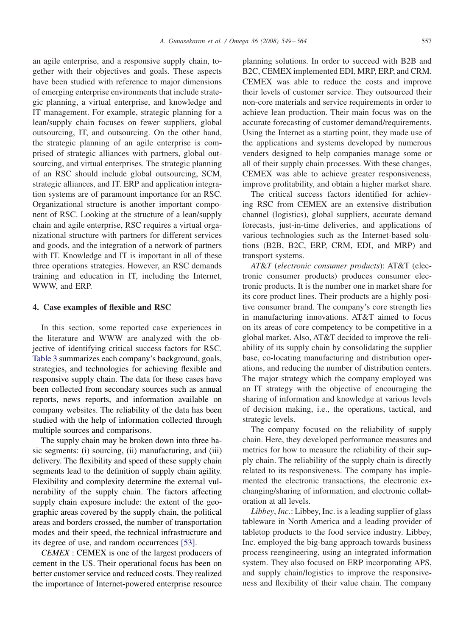an agile enterprise, and a responsive supply chain, together with their objectives and goals. These aspects have been studied with reference to major dimensions of emerging enterprise environments that include strategic planning, a virtual enterprise, and knowledge and IT management. For example, strategic planning for a lean/supply chain focuses on fewer suppliers, global outsourcing, IT, and outsourcing. On the other hand, the strategic planning of an agile enterprise is comprised of strategic alliances with partners, global outsourcing, and virtual enterprises. The strategic planning of an RSC should include global outsourcing, SCM, strategic alliances, and IT. ERP and application integration systems are of paramount importance for an RSC. Organizational structure is another important component of RSC. Looking at the structure of a lean/supply chain and agile enterprise, RSC requires a virtual organizational structure with partners for different services and goods, and the integration of a network of partners with IT. Knowledge and IT is important in all of these three operations strategies. However, an RSC demands training and education in IT, including the Internet, WWW, and ERP.

#### **4. Case examples of flexible and RSC**

In this section, some reported case experiences in the literature and WWW are analyzed with the objective of identifying critical success factors for RSC. [Table 3](#page-9-0) summarizes each company's background, goals, strategies, and technologies for achieving flexible and responsive supply chain. The data for these cases have been collected from secondary sources such as annual reports, news reports, and information available on company websites. The reliability of the data has been studied with the help of information collected through multiple sources and comparisons.

The supply chain may be broken down into three basic segments: (i) sourcing, (ii) manufacturing, and (iii) delivery. The flexibility and speed of these supply chain segments lead to the definition of supply chain agility. Flexibility and complexity determine the external vulnerability of the supply chain. The factors affecting supply chain exposure include: the extent of the geographic areas covered by the supply chain, the political areas and borders crossed, the number of transportation modes and their speed, the technical infrastructure and its degree of use, and random occurrences [\[53\].](#page-15-0)

*CEMEX* : CEMEX is one of the largest producers of cement in the US. Their operational focus has been on better customer service and reduced costs. They realized the importance of Internet-powered enterprise resource planning solutions. In order to succeed with B2B and B2C, CEMEX implemented EDI, MRP, ERP, and CRM. CEMEX was able to reduce the costs and improve their levels of customer service. They outsourced their non-core materials and service requirements in order to achieve lean production. Their main focus was on the accurate forecasting of customer demand/requirements. Using the Internet as a starting point, they made use of the applications and systems developed by numerous venders designed to help companies manage some or all of their supply chain processes. With these changes, CEMEX was able to achieve greater responsiveness, improve profitability, and obtain a higher market share.

The critical success factors identified for achieving RSC from CEMEX are an extensive distribution channel (logistics), global suppliers, accurate demand forecasts, just-in-time deliveries, and applications of various technologies such as the Internet-based solutions (B2B, B2C, ERP, CRM, EDI, and MRP) and transport systems.

*AT*&*T* (*electronic consumer products*): AT&T (electronic consumer products) produces consumer electronic products. It is the number one in market share for its core product lines. Their products are a highly positive consumer brand. The company's core strength lies in manufacturing innovations. AT&T aimed to focus on its areas of core competency to be competitive in a global market. Also, AT&T decided to improve the reliability of its supply chain by consolidating the supplier base, co-locating manufacturing and distribution operations, and reducing the number of distribution centers. The major strategy which the company employed was an IT strategy with the objective of encouraging the sharing of information and knowledge at various levels of decision making, i.e., the operations, tactical, and strategic levels.

The company focused on the reliability of supply chain. Here, they developed performance measures and metrics for how to measure the reliability of their supply chain. The reliability of the supply chain is directly related to its responsiveness. The company has implemented the electronic transactions, the electronic exchanging/sharing of information, and electronic collaboration at all levels.

*Libbey*, *Inc.*: Libbey, Inc. is a leading supplier of glass tableware in North America and a leading provider of tabletop products to the food service industry. Libbey, Inc. employed the big-bang approach towards business process reengineering, using an integrated information system. They also focused on ERP incorporating APS, and supply chain/logistics to improve the responsiveness and flexibility of their value chain. The company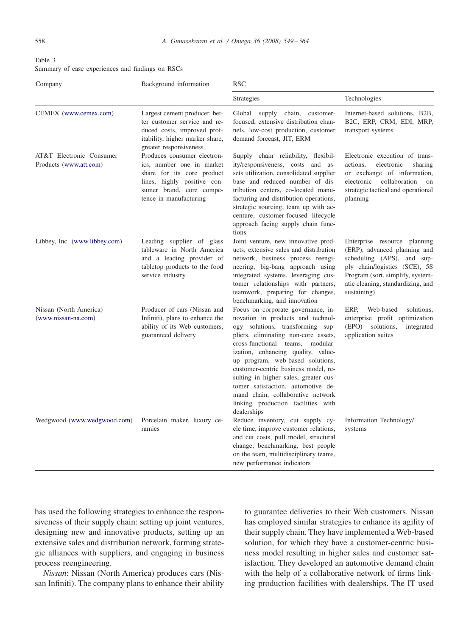<span id="page-9-0"></span>Table 3 Summary of case experiences and findings on RSCs

| Company                                            | Background information                                                                                                                                                      | <b>RSC</b>                                                                                                                                                                                                                                                                                                                                                                                                                                                                         |                                                                                                                                                                                                                     |
|----------------------------------------------------|-----------------------------------------------------------------------------------------------------------------------------------------------------------------------------|------------------------------------------------------------------------------------------------------------------------------------------------------------------------------------------------------------------------------------------------------------------------------------------------------------------------------------------------------------------------------------------------------------------------------------------------------------------------------------|---------------------------------------------------------------------------------------------------------------------------------------------------------------------------------------------------------------------|
|                                                    |                                                                                                                                                                             | Strategies                                                                                                                                                                                                                                                                                                                                                                                                                                                                         | Technologies                                                                                                                                                                                                        |
| CEMEX (www.cemex.com)                              | Largest cement producer, bet-<br>ter customer service and re-<br>duced costs, improved prof-<br>itability, higher marker share,<br>greater responsiveness                   | Global supply chain,<br>customer-<br>focused, extensive distribution chan-<br>nels, low-cost production, customer<br>demand forecast, JIT, ERM                                                                                                                                                                                                                                                                                                                                     | Internet-based solutions, B2B,<br>B2C, ERP, CRM, EDI, MRP,<br>transport systems                                                                                                                                     |
| AT&T Electronic Consumer<br>Products (www.att.com) | Produces consumer electron-<br>ics, number one in market<br>share for its core product<br>lines, highly positive con-<br>sumer brand, core compe-<br>tence in manufacturing | Supply chain reliability, flexibil-<br>ity/responsiveness, costs and as-<br>sets utilization, consolidated supplier<br>base and reduced number of dis-<br>tribution centers, co-located manu-<br>facturing and distribution operations,<br>strategic sourcing, team up with ac-<br>centure, customer-focused lifecycle<br>approach facing supply chain func-<br>tions                                                                                                              | Electronic execution of trans-<br>actions.<br>electronic<br>sharing<br>or exchange of information,<br>electronic<br>collaboration<br>on<br>strategic tactical and operational<br>planning                           |
| Libbey, Inc. (www.libbey.com)                      | Leading supplier of glass<br>tableware in North America<br>and a leading provider of<br>tabletop products to the food<br>service industry                                   | Joint venture, new innovative prod-<br>ucts, extensive sales and distribution<br>network, business process reengi-<br>neering, big-bang approach using<br>integrated systems, leveraging cus-<br>tomer relationships with partners,<br>teamwork, preparing for changes,<br>benchmarking, and innovation                                                                                                                                                                            | Enterprise resource planning<br>(ERP), advanced planning and<br>scheduling (APS), and sup-<br>ply chain/logistics (SCE), 5S<br>Program (sort, simplify, system-<br>atic cleaning, standardizing, and<br>sustaining) |
| Nissan (North America)<br>(www.nissan-na.com)      | Producer of cars (Nissan and<br>Infiniti), plans to enhance the<br>ability of its Web customers,<br>guaranteed delivery                                                     | Focus on corporate governance, in-<br>novation in products and technol-<br>ogy solutions, transforming sup-<br>pliers, eliminating non-core assets,<br>cross-functional teams, modular-<br>ization, enhancing quality, value-<br>up program, web-based solutions,<br>customer-centric business model, re-<br>sulting in higher sales, greater cus-<br>tomer satisfaction, automotive de-<br>mand chain, collaborative network<br>linking production facilities with<br>dealerships | ERP.<br>solutions,<br>Web-based<br>enterprise profit optimization<br>(EPO) solutions,<br>integrated<br>application suites                                                                                           |
| Wedgwood (www.wedgwood.com)                        | Porcelain maker, luxury ce-<br>ramics                                                                                                                                       | Reduce inventory, cut supply cy-<br>cle time, improve customer relations,<br>and cut costs, pull model, structural<br>change, benchmarking, best people<br>on the team, multidisciplinary teams,<br>new performance indicators                                                                                                                                                                                                                                                     | Information Technology/<br>systems                                                                                                                                                                                  |

has used the following strategies to enhance the responsiveness of their supply chain: setting up joint ventures, designing new and innovative products, setting up an extensive sales and distribution network, forming strategic alliances with suppliers, and engaging in business process reengineering.

*Nissan*: Nissan (North America) produces cars (Nissan Infiniti). The company plans to enhance their ability to guarantee deliveries to their Web customers. Nissan has employed similar strategies to enhance its agility of their supply chain. They have implemented a Web-based solution, for which they have a customer-centric business model resulting in higher sales and customer satisfaction. They developed an automotive demand chain with the help of a collaborative network of firms linking production facilities with dealerships. The IT used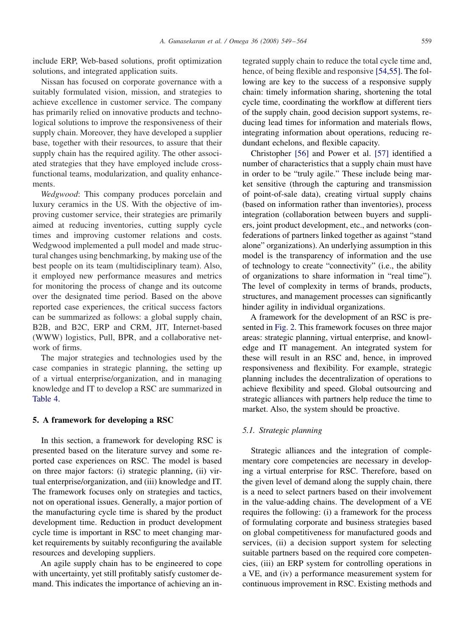include ERP, Web-based solutions, profit optimization solutions, and integrated application suits.

Nissan has focused on corporate governance with a suitably formulated vision, mission, and strategies to achieve excellence in customer service. The company has primarily relied on innovative products and technological solutions to improve the responsiveness of their supply chain. Moreover, they have developed a supplier base, together with their resources, to assure that their supply chain has the required agility. The other associated strategies that they have employed include crossfunctional teams, modularization, and quality enhancements.

*Wedgwood*: This company produces porcelain and luxury ceramics in the US. With the objective of improving customer service, their strategies are primarily aimed at reducing inventories, cutting supply cycle times and improving customer relations and costs. Wedgwood implemented a pull model and made structural changes using benchmarking, by making use of the best people on its team (multidisciplinary team). Also, it employed new performance measures and metrics for monitoring the process of change and its outcome over the designated time period. Based on the above reported case experiences, the critical success factors can be summarized as follows: a global supply chain, B2B, and B2C, ERP and CRM, JIT, Internet-based (WWW) logistics, Pull, BPR, and a collaborative network of firms.

The major strategies and technologies used by the case companies in strategic planning, the setting up of a virtual enterprise/organization, and in managing knowledge and IT to develop a RSC are summarized in [Table 4.](#page-11-0)

## **5. A framework for developing a RSC**

In this section, a framework for developing RSC is presented based on the literature survey and some reported case experiences on RSC. The model is based on three major factors: (i) strategic planning, (ii) virtual enterprise/organization, and (iii) knowledge and IT. The framework focuses only on strategies and tactics, not on operational issues. Generally, a major portion of the manufacturing cycle time is shared by the product development time. Reduction in product development cycle time is important in RSC to meet changing market requirements by suitably reconfiguring the available resources and developing suppliers.

An agile supply chain has to be engineered to cope with uncertainty, yet still profitably satisfy customer demand. This indicates the importance of achieving an integrated supply chain to reduce the total cycle time and, hence, of being flexible and responsive [54,55]. The following are key to the success of a responsive supply chain: timely information sharing, shortening the total cycle time, coordinating the workflow at different tiers of the supply chain, good decision support systems, reducing lead times for information and materials flows, integrating information about operations, reducing redundant echelons, and flexible capacity.

Christopher [\[56\]](#page-15-0) and Power et al. [\[57\]](#page-15-0) identified a number of characteristics that a supply chain must have in order to be "truly agile." These include being market sensitive (through the capturing and transmission of point-of-sale data), creating virtual supply chains (based on information rather than inventories), process integration (collaboration between buyers and suppliers, joint product development, etc., and networks (confederations of partners linked together as against "stand alone" organizations). An underlying assumption in this model is the transparency of information and the use of technology to create "connectivity" (i.e., the ability of organizations to share information in "real time"). The level of complexity in terms of brands, products, structures, and management processes can significantly hinder agility in individual organizations.

A framework for the development of an RSC is presented in [Fig. 2.](#page-12-0) This framework focuses on three major areas: strategic planning, virtual enterprise, and knowledge and IT management. An integrated system for these will result in an RSC and, hence, in improved responsiveness and flexibility. For example, strategic planning includes the decentralization of operations to achieve flexibility and speed. Global outsourcing and strategic alliances with partners help reduce the time to market. Also, the system should be proactive.

## *5.1. Strategic planning*

Strategic alliances and the integration of complementary core competencies are necessary in developing a virtual enterprise for RSC. Therefore, based on the given level of demand along the supply chain, there is a need to select partners based on their involvement in the value-adding chains. The development of a VE requires the following: (i) a framework for the process of formulating corporate and business strategies based on global competitiveness for manufactured goods and services, (ii) a decision support system for selecting suitable partners based on the required core competencies, (iii) an ERP system for controlling operations in a VE, and (iv) a performance measurement system for continuous improvement in RSC. Existing methods and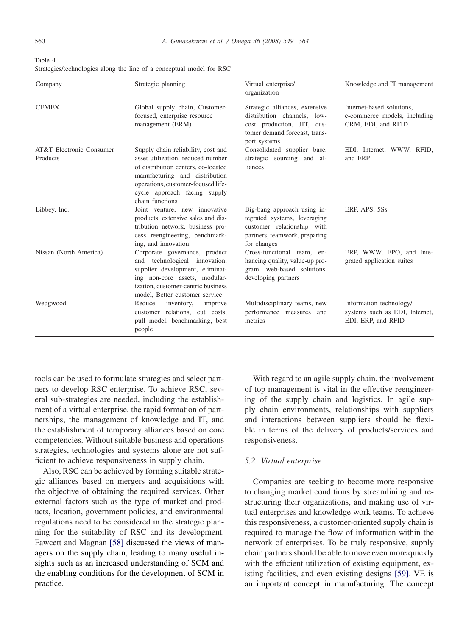<span id="page-11-0"></span>Table 4 Strategies/technologies along the line of a conceptual model for RSC

| Company                  | Strategic planning                                                                                                                                                                                            | Virtual enterprise/<br>organization                                                                                                          | Knowledge and IT management                                                     |
|--------------------------|---------------------------------------------------------------------------------------------------------------------------------------------------------------------------------------------------------------|----------------------------------------------------------------------------------------------------------------------------------------------|---------------------------------------------------------------------------------|
| <b>CEMEX</b>             | Global supply chain, Customer-<br>focused, enterprise resource<br>management (ERM)                                                                                                                            | Strategic alliances, extensive<br>distribution channels, low-<br>cost production, JIT, cus-<br>tomer demand forecast, trans-<br>port systems | Internet-based solutions.<br>e-commerce models, including<br>CRM, EDI, and RFID |
| AT&T Electronic Consumer | Supply chain reliability, cost and                                                                                                                                                                            | Consolidated supplier base,                                                                                                                  | EDI, Internet, WWW, RFID,                                                       |
| Products                 | asset utilization, reduced number<br>of distribution centers, co-located<br>manufacturing and distribution<br>operations, customer-focused life-<br>cycle approach facing supply<br>chain functions           | strategic sourcing and al-<br>liances                                                                                                        | and ERP                                                                         |
| Libbey, Inc.             | Joint venture, new innovative<br>products, extensive sales and dis-<br>tribution network, business pro-<br>cess reengineering, benchmark-<br>ing, and innovation.                                             | Big-bang approach using in-<br>tegrated systems, leveraging<br>customer relationship with<br>partners, teamwork, preparing<br>for changes    | ERP, APS, 5Ss                                                                   |
| Nissan (North America)   | Corporate governance, product<br>technological innovation,<br>and<br>supplier development, eliminat-<br>ing non-core assets, modular-<br>ization, customer-centric business<br>model. Better customer service | Cross-functional team, en-<br>hancing quality, value-up pro-<br>gram, web-based solutions,<br>developing partners                            | ERP, WWW, EPO, and Inte-<br>grated application suites                           |
| Wedgwood                 | Reduce<br>inventory,<br>improve<br>customer relations, cut costs,<br>pull model, benchmarking, best<br>people                                                                                                 | Multidisciplinary teams, new<br>performance measures and<br>metrics                                                                          | Information technology/<br>systems such as EDI, Internet,<br>EDI, ERP, and RFID |

tools can be used to formulate strategies and select partners to develop RSC enterprise. To achieve RSC, several sub-strategies are needed, including the establishment of a virtual enterprise, the rapid formation of partnerships, the management of knowledge and IT, and the establishment of temporary alliances based on core competencies. Without suitable business and operations strategies, technologies and systems alone are not sufficient to achieve responsiveness in supply chain.

Also, RSC can be achieved by forming suitable strategic alliances based on mergers and acquisitions with the objective of obtaining the required services. Other external factors such as the type of market and products, location, government policies, and environmental regulations need to be considered in the strategic planning for the suitability of RSC and its development. Fawcett and Magnan [\[58\]](#page-15-0) discussed the views of managers on the supply chain, leading to many useful insights such as an increased understanding of SCM and the enabling conditions for the development of SCM in practice.

With regard to an agile supply chain, the involvement of top management is vital in the effective reengineering of the supply chain and logistics. In agile supply chain environments, relationships with suppliers and interactions between suppliers should be flexible in terms of the delivery of products/services and responsiveness.

#### *5.2. Virtual enterprise*

Companies are seeking to become more responsive to changing market conditions by streamlining and restructuring their organizations, and making use of virtual enterprises and knowledge work teams. To achieve this responsiveness, a customer-oriented supply chain is required to manage the flow of information within the network of enterprises. To be truly responsive, supply chain partners should be able to move even more quickly with the efficient utilization of existing equipment, existing facilities, and even existing designs [\[59\].](#page-15-0) VE is an important concept in manufacturing. The concept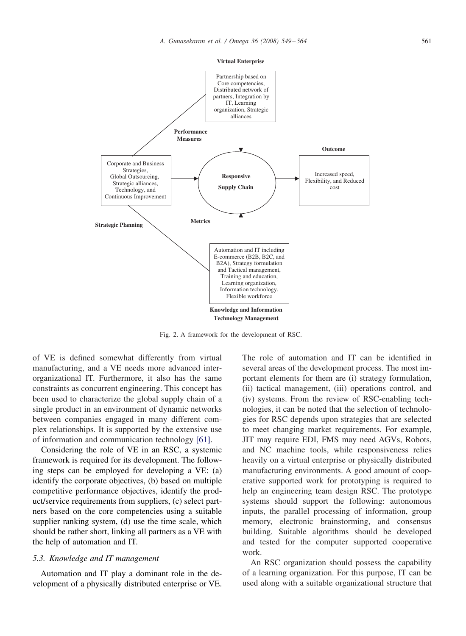<span id="page-12-0"></span>

Fig. 2. A framework for the development of RSC.

of VE is defined somewhat differently from virtual manufacturing, and a VE needs more advanced interorganizational IT. Furthermore, it also has the same constraints as concurrent engineering. This concept has been used to characterize the global supply chain of a single product in an environment of dynamic networks between companies engaged in many different complex relationships. It is supported by the extensive use of information and communication technology [\[61\].](#page-15-0)

Considering the role of VE in an RSC, a systemic framework is required for its development. The following steps can be employed for developing a VE: (a) identify the corporate objectives, (b) based on multiple competitive performance objectives, identify the product/service requirements from suppliers, (c) select partners based on the core competencies using a suitable supplier ranking system, (d) use the time scale, which should be rather short, linking all partners as a VE with the help of automation and IT.

## *5.3. Knowledge and IT management*

Automation and IT play a dominant role in the development of a physically distributed enterprise or VE. The role of automation and IT can be identified in several areas of the development process. The most important elements for them are (i) strategy formulation, (ii) tactical management, (iii) operations control, and (iv) systems. From the review of RSC-enabling technologies, it can be noted that the selection of technologies for RSC depends upon strategies that are selected to meet changing market requirements. For example, JIT may require EDI, FMS may need AGVs, Robots, and NC machine tools, while responsiveness relies heavily on a virtual enterprise or physically distributed manufacturing environments. A good amount of cooperative supported work for prototyping is required to help an engineering team design RSC. The prototype systems should support the following: autonomous inputs, the parallel processing of information, group memory, electronic brainstorming, and consensus building. Suitable algorithms should be developed and tested for the computer supported cooperative work.

An RSC organization should possess the capability of a learning organization. For this purpose, IT can be used along with a suitable organizational structure that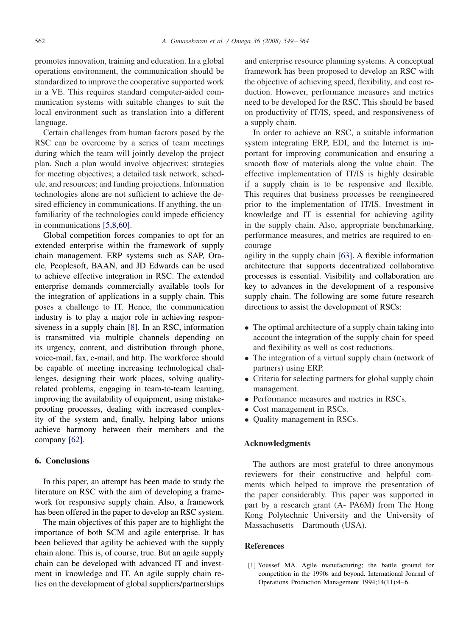<span id="page-13-0"></span>promotes innovation, training and education. In a global operations environment, the communication should be standardized to improve the cooperative supported work in a VE. This requires standard computer-aided communication systems with suitable changes to suit the local environment such as translation into a different language.

Certain challenges from human factors posed by the RSC can be overcome by a series of team meetings during which the team will jointly develop the project plan. Such a plan would involve objectives; strategies for meeting objectives; a detailed task network, schedule, and resources; and funding projections. Information technologies alone are not sufficient to achieve the desired efficiency in communications. If anything, the unfamiliarity of the technologies could impede efficiency in communications [5,8,60].

Global competition forces companies to opt for an extended enterprise within the framework of supply chain management. ERP systems such as SAP, Oracle, Peoplesoft, BAAN, and JD Edwards can be used to achieve effective integration in RSC. The extended enterprise demands commercially available tools for the integration of applications in a supply chain. This poses a challenge to IT. Hence, the communication industry is to play a major role in achieving responsiveness in a supply chain [\[8\].](#page-14-0) In an RSC, information is transmitted via multiple channels depending on its urgency, content, and distribution through phone, voice-mail, fax, e-mail, and http. The workforce should be capable of meeting increasing technological challenges, designing their work places, solving qualityrelated problems, engaging in team-to-team learning, improving the availability of equipment, using mistakeproofing processes, dealing with increased complexity of the system and, finally, helping labor unions achieve harmony between their members and the company [\[62\].](#page-15-0)

# **6. Conclusions**

In this paper, an attempt has been made to study the literature on RSC with the aim of developing a framework for responsive supply chain. Also, a framework has been offered in the paper to develop an RSC system.

The main objectives of this paper are to highlight the importance of both SCM and agile enterprise. It has been believed that agility be achieved with the supply chain alone. This is, of course, true. But an agile supply chain can be developed with advanced IT and investment in knowledge and IT. An agile supply chain relies on the development of global suppliers/partnerships and enterprise resource planning systems. A conceptual framework has been proposed to develop an RSC with the objective of achieving speed, flexibility, and cost reduction. However, performance measures and metrics need to be developed for the RSC. This should be based on productivity of IT/IS, speed, and responsiveness of a supply chain.

In order to achieve an RSC, a suitable information system integrating ERP, EDI, and the Internet is important for improving communication and ensuring a smooth flow of materials along the value chain. The effective implementation of IT/IS is highly desirable if a supply chain is to be responsive and flexible. This requires that business processes be reengineered prior to the implementation of IT/IS. Investment in knowledge and IT is essential for achieving agility in the supply chain. Also, appropriate benchmarking, performance measures, and metrics are required to encourage

agility in the supply chain [\[63\].](#page-15-0) A flexible information architecture that supports decentralized collaborative processes is essential. Visibility and collaboration are key to advances in the development of a responsive supply chain. The following are some future research directions to assist the development of RSCs:

- The optimal architecture of a supply chain taking into account the integration of the supply chain for speed and flexibility as well as cost reductions.
- The integration of a virtual supply chain (network of partners) using ERP.
- Criteria for selecting partners for global supply chain management.
- Performance measures and metrics in RSCs.
- Cost management in RSCs.
- Quality management in RSCs.

# **Acknowledgments**

The authors are most grateful to three anonymous reviewers for their constructive and helpful comments which helped to improve the presentation of the paper considerably. This paper was supported in part by a research grant (A- PA6M) from The Hong Kong Polytechnic University and the University of Massachusetts—Dartmouth (USA).

## **References**

[1] Youssef MA. Agile manufacturing; the battle ground for competition in the 1990s and beyond. International Journal of Operations Production Management 1994;14(11):4–6.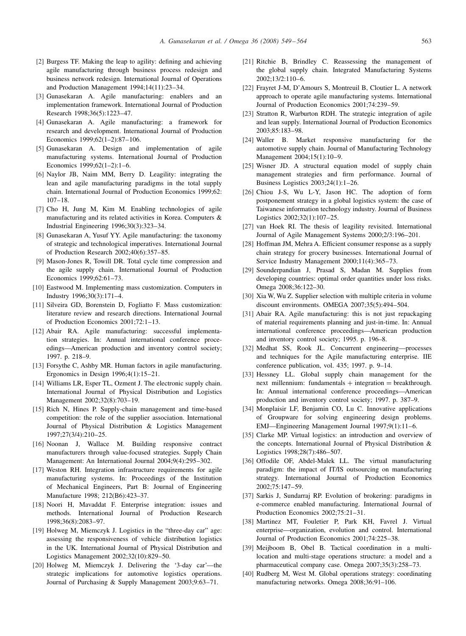- <span id="page-14-0"></span>[2] Burgess TF. Making the leap to agility: defining and achieving agile manufacturing through business process redesign and business network redesign. International Journal of Operations and Production Management 1994;14(11):23–34.
- [3] Gunasekaran A. Agile manufacturing: enablers and an implementation framework. International Journal of Production Research 1998;36(5):1223–47.
- [4] Gunasekaran A. Agile manufacturing: a framework for research and development. International Journal of Production Economics 1999;62(1–2):87–106.
- [5] Gunasekaran A. Design and implementation of agile manufacturing systems. International Journal of Production Economics 1999;62(1–2):1–6.
- [6] Naylor JB, Naim MM, Berry D. Leagility: integrating the lean and agile manufacturing paradigms in the total supply chain. International Journal of Production Economics 1999;62: 107–18.
- [7] Cho H, Jung M, Kim M. Enabling technologies of agile manufacturing and its related activities in Korea. Computers & Industrial Engineering 1996;30(3):323–34.
- [8] Gunasekaran A, Yusuf YY. Agile manufacturing: the taxonomy of strategic and technological imperatives. International Journal of Production Research 2002;40(6):357–85.
- [9] Mason-Jones R, Towill DR. Total cycle time compression and the agile supply chain. International Journal of Production Economics 1999;62:61–73.
- [10] Eastwood M. Implementing mass customization. Computers in Industry 1996;30(3):171–4.
- [11] Silveira GD, Borenstein D, Fogliatto F. Mass customization: literature review and research directions. International Journal of Production Economics 2001;72:1–13.
- [12] Abair RA. Agile manufacturing: successful implementation strategies. In: Annual international conference proceedings—American production and inventory control society; 1997. p. 218–9.
- [13] Forsythe C, Ashby MR. Human factors in agile manufacturing. Ergonomics in Design 1996;4(1):15–21.
- [14] Williams LR, Esper TL, Ozment J. The electronic supply chain. International Journal of Physical Distribution and Logistics Management 2002;32(8):703–19.
- [15] Rich N, Hines P. Supply-chain management and time-based competition: the role of the supplier association. International Journal of Physical Distribution & Logistics Management 1997;27(3/4):210–25.
- [16] Noonan J, Wallace M. Building responsive contract manufacturers through value-focused strategies. Supply Chain Management: An International Journal 2004;9(4):295–302.
- [17] Weston RH. Integration infrastructure requirements for agile manufacturing systems. In: Proceedings of the Institution of Mechanical Engineers, Part B: Journal of Engineering Manufacture 1998; 212(B6):423–37.
- [18] Noori H, Mavaddat F. Enterprise integration: issues and methods. International Journal of Production Research 1998;36(8):2083–97.
- [19] Holweg M, Miemczyk J. Logistics in the "three-day car" age: assessing the responsiveness of vehicle distribution logistics in the UK. International Journal of Physical Distribution and Logistics Management 2002;32(10):829–50.
- [20] Holweg M, Miemczyk J. Delivering the '3-day car'—the strategic implications for automotive logistics operations. Journal of Purchasing & Supply Management 2003;9:63–71.
- [21] Ritchie B, Brindley C. Reassessing the management of the global supply chain. Integrated Manufacturing Systems 2002;13/2:110–6.
- [22] Frayret J-M, D'Amours S, Montreuil B, Cloutier L. A network approach to operate agile manufacturing systems. International Journal of Production Economics 2001;74:239–59.
- [23] Stratton R, Warburton RDH. The strategic integration of agile and lean supply. International Journal of Production Economics 2003;85:183–98.
- [24] Waller B. Market responsive manufacturing for the automotive supply chain. Journal of Manufacturing Technology Management 2004;15(1):10–9.
- [25] Wisner JD. A structural equation model of supply chain management strategies and firm performance. Journal of Business Logistics 2003;24(1):1–26.
- [26] Chiou J-S, Wu L-Y, Jason HC. The adoption of form postponement strategy in a global logistics system: the case of Taiwanese information technology industry. Journal of Business Logistics 2002;32(1):107–25.
- [27] van Hoek RI. The thesis of leagility revisited. International Journal of Agile Management Systems 2000;2/3:196–201.
- [28] Hoffman JM, Mehra A. Efficient consumer response as a supply chain strategy for grocery businesses. International Journal of Service Industry Management 2000;11(4):365–73.
- [29] Sounderpandian J, Prasad S, Madan M. Supplies from developing countries: optimal order quantities under loss risks. Omega 2008;36:122–30.
- [30] Xia W, Wu Z. Supplier selection with multiple criteria in volume discount environments. OMEGA 2007;35(5):494–504.
- [31] Abair RA. Agile manufacturing: this is not just repackaging of material requirements planning and just-in-time. In: Annual international conference proceedings—American production and inventory control society; 1995. p. 196–8.
- [32] Medhat SS, Rook JL. Concurrent engineering—processes and techniques for the Agile manufacturing enterprise. IIE conference publication, vol. 435; 1997. p. 9–14.
- [33] Hessney LL. Global supply chain management for the next millennium: fundamentals  $+$  integration  $=$  breakthrough. In: Annual international conference proceedings—American production and inventory control society; 1997. p. 387–9.
- [34] Monplaisir LF, Benjamin CO, Lu C. Innovative applications of Groupware for solving engineering design problems. EMJ—Engineering Management Journal 1997;9(1):11–6.
- [35] Clarke MP. Virtual logistics: an introduction and overview of the concepts. International Journal of Physical Distribution & Logistics 1998;28(7):486–507.
- [36] Offodile OF, Abdel-Malek LL. The virtual manufacturing paradigm: the impact of IT/IS outsourcing on manufacturing strategy. International Journal of Production Economics 2002;75:147–59.
- [37] Sarkis J, Sundarraj RP. Evolution of brokering: paradigms in e-commerce enabled manufacturing. International Journal of Production Economics 2002;75:21–31.
- [38] Martinez MT, Fouletier P, Park KH, Favrel J. Virtual enterprise—organization, evolution and control. International Journal of Production Economics 2001;74:225–38.
- [39] Meijboom B, Obel B. Tactical coordination in a multilocation and multi-stage operations structure: a model and a pharmaceutical company case. Omega 2007;35(3):258–73.
- [40] Rudberg M, West M. Global operations strategy: coordinating manufacturing networks. Omega 2008;36:91–106.